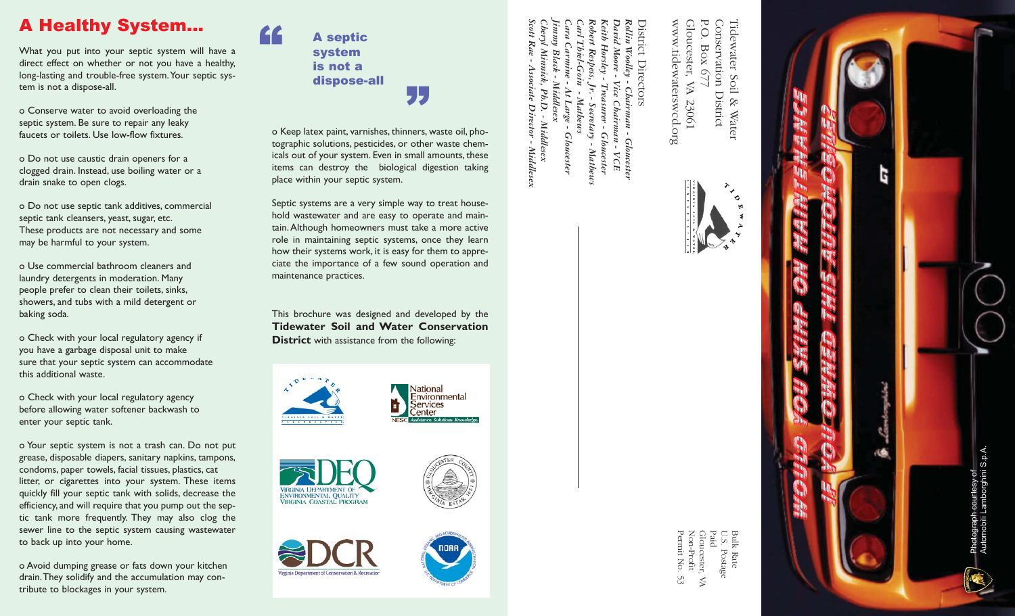# A Healthy System...

What you put into your septic system will have a direct effect on whether or not you have a healthy, long-lasting and trouble-free system.Your septic system is not a dispose-all.

o Conserve water to avoid overloading the septic system. Be sure to repair any leaky faucets or toilets. Use low-flow fixtures.

o Do not use caustic drain openers for a clogged drain. Instead, use boiling water or a drain snake to open clogs.

o Do not use septic tank additives, commercial septic tank cleansers, yeast, sugar, etc. These products are not necessary and some may be harmful to your system.

o Use commercial bathroom cleaners and laundry detergents in moderation. Many people prefer to clean their toilets, sinks, showers, and tubs with a mild detergent or baking soda.

o Check with your local regulatory agency if you have a garbage disposal unit to make sure that your septic system can accommodate this additional waste.

o Check with your local regulatory agency before allowing water softener backwash to enter your septic tank.

o Your septic system is not a trash can. Do not put grease, disposable diapers, sanitary napkins, tampons, condoms, paper towels, facial tissues, plastics, cat litter, or cigarettes into your system. These items quickly fill your septic tank with solids, decrease the efficiency, and will require that you pump out the septic tank more frequently. They may also clog the sewer line to the septic system causing wastewater to back up into your home.

o Avoid dumping grease or fats down your kitchen drain.They solidify and the accumulation may contribute to blockages in your system.



"

o Keep latex paint, varnishes, thinners, waste oil, photographic solutions, pesticides, or other waste chemicals out of your system. Even in small amounts, these items can destroy the biological digestion taking place within your septic system.

"

Septic systems are a very simple way to treat household wastewater and are easy to operate and maintain. Although homeowners must take a more active role in maintaining septic systems, once they learn how their systems work, it is easy for them to appreciate the importance of a few sound operation and maintenance practices.

This brochure was designed and developed by the **Tidewater Soil and Water Conservation District** with assistance from the following:









*Jimmy Black - Middlesex Cheryl Minnick, Ph.D. - Middlesex Cara Carmine - At Large - Gloucester Carl Thiel-Goin - Mathews*  $Rae$ Thiel-Goin **Middlese:**  $Pb.D.$ **Mathews** Large -**Middlesex** 

*Scott Rae - Associate Director - Middlesex* Associate Director - Middlesex **Gloucester** 

*Robert Respess, Jr. - Secretary - Mathews* Respess, Jŕ. Secretary -Matheus

*Keith Horsley - Treasurer - Gloucester David Moore - Vice Chairman - VCE Rollin Woolley - Chairman - Gloucester* District Directors istrict Directors ith Horsley vid Moore voolley  $Vice$ Treasurer - Gloucester Chairman -Chairman - Gloucester<br>an - VCE

ollin

 ${\rm P.O.}$ www.tidewaterswcd.org P.O. Box 677 Conservation Tidewater Soil & Tidewater Soil & Water www.tidewaterswcd.org Gloucester, Gloucester, VA 23061 Conservation District  $_{\mathrm{Box}}$  $(67)$ VA 23061 District Water